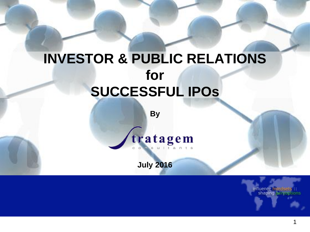#### **INVESTOR & PUBLIC RELATIONS for SUCCESSFUL IPOs**

**By** 

tratagem

t a n

**July 2016**

influence mindsets<br>shaping

1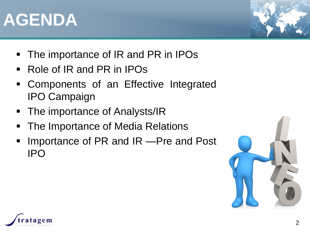

## **AGENDA**

- The importance of IR and PR in IPOs
- Role of IR and PR in IPOs
- Components of an Effective Integrated IPO Campaign
- The importance of Analysts/IR
- The Importance of Media Relations
- Importance of PR and IR —Pre and Post IPO



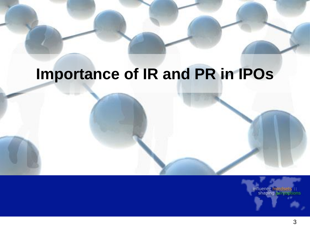## **Importance of IR and PR in IPOs**

influence mindsets ::<br>shaping perception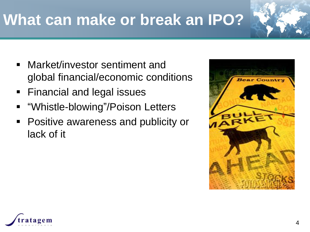### **What can make or break an IPO?**

- Market/investor sentiment and global financial/economic conditions
- Financial and legal issues
- "Whistle-blowing"/Poison Letters
- Positive awareness and publicity or lack of it



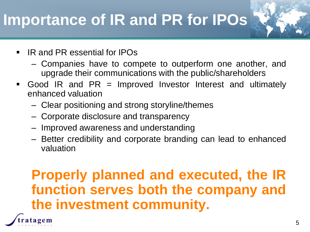## **Importance of IR and PR for IPOs**

- IR and PR essential for IPOs
	- Companies have to compete to outperform one another, and upgrade their communications with the public/shareholders
- Good IR and  $PR = Improved$  Investor Interest and ultimately enhanced valuation
	- Clear positioning and strong storyline/themes
	- Corporate disclosure and transparency
	- Improved awareness and understanding
	- Better credibility and corporate branding can lead to enhanced valuation

#### **Properly planned and executed, the IR function serves both the company and the investment community.**

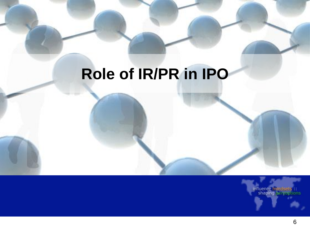### **Role of IR/PR in IPO**

influence mindsets ::<br>shaping perceptions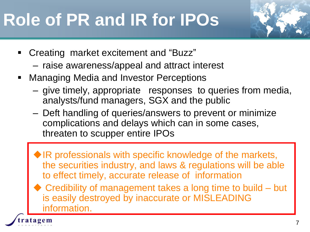# **Role of PR and IR for IPOs**



- Creating market excitement and "Buzz"
	- raise awareness/appeal and attract interest
- **Managing Media and Investor Perceptions**

ratagem

- give timely, appropriate responses to queries from media, analysts/fund managers, SGX and the public
- Deft handling of queries/answers to prevent or minimize complications and delays which can in some cases, threaten to scupper entire IPOs
- $\blacklozenge$  IR professionals with specific knowledge of the markets, the securities industry, and laws & regulations will be able to effect timely, accurate release of information
- ◆ Credibility of management takes a long time to build but is easily destroyed by inaccurate or MISLEADING information.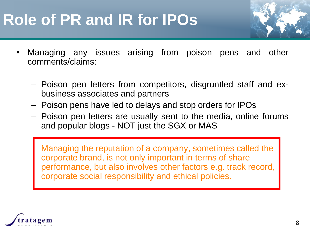### **Role of PR and IR for IPOs**



- Managing any issues arising from poison pens and other comments/claims:
	- Poison pen letters from competitors, disgruntled staff and exbusiness associates and partners
	- Poison pens have led to delays and stop orders for IPOs
	- Poison pen letters are usually sent to the media, online forums and popular blogs - NOT just the SGX or MAS

Managing the reputation of a company, sometimes called the corporate brand, is not only important in terms of share performance, but also involves other factors e.g. track record, corporate social responsibility and ethical policies.

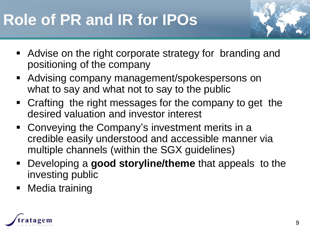## **Role of PR and IR for IPOs**



- Advise on the right corporate strategy for branding and positioning of the company
- Advising company management/spokespersons on what to say and what not to say to the public
- Crafting the right messages for the company to get the desired valuation and investor interest
- Conveying the Company's investment merits in a credible easily understood and accessible manner via multiple channels (within the SGX guidelines)
- Developing a **good storyline/theme** that appeals to the investing public
- **Nedia training**

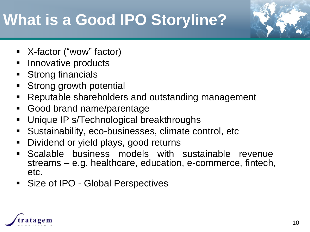## **What is a Good IPO Storyline?**

- X-factor ("wow" factor)
- Innovative products
- **Strong financials**
- **Strong growth potential**
- Reputable shareholders and outstanding management
- Good brand name/parentage
- Unique IP s/Technological breakthroughs
- Sustainability, eco-businesses, climate control, etc
- Dividend or yield plays, good returns
- **Scalable business models with sustainable revenue** streams – e.g. healthcare, education, e-commerce, fintech, etc.
- **Size of IPO Global Perspectives**

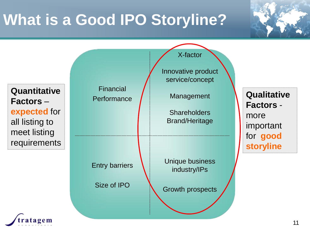## **What is a Good IPO Storyline?**

**Quantitative Factors** – **expected** for all listing to meet listing requirements



**Qualitative Factors** more important for **good storyline**

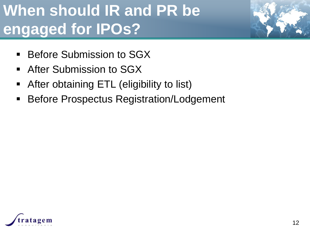## **When should IR and PR be engaged for IPOs?**

- Before Submission to SGX
- After Submission to SGX
- After obtaining ETL (eligibility to list)
- **Before Prospectus Registration/Lodgement**

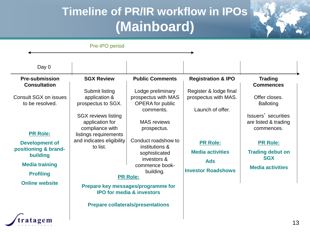#### **Timeline of PR/IR workflow in IPOs (Mainboard)**

Day 0 Pre-IPO period **Pre-submission Consultation** Consult SGX on issues to be resolved. **Public Comments** Lodge preliminary prospectus with MAS OPERA for public comments. MAS reviews prospectus. Conduct roadshow to institutions & sophisticated investors & commence bookbuilding. **Registration & IPO** Register & lodge final prospectus with MAS. Launch of offer. **SGX Review** Submit listing application & prospectus to SGX. SGX reviews listing application for compliance with listings requirements and indicates eligibility to list. **Trading Commences** Offer closes. Balloting Issuers' securities are listed & trading commences. **PR Role: Prepare key messages/programme for IPO for media & investors Prepare collaterals/presentations PR Role: Development of positioning & brandbuilding Media training Profiling Online website PR Role: Media activities Ads Investor Roadshows PR Role: Trading debut on SGX Media activities**

atagem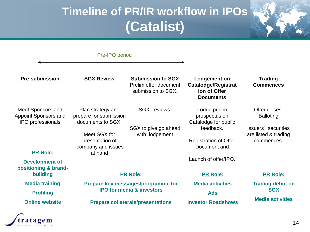#### **Timeline of PR/IR workflow in IPOs (Catalist)**

|                                                                       | Pre-IPO period                                                   |                                                                         |                                                                                       |                                             |
|-----------------------------------------------------------------------|------------------------------------------------------------------|-------------------------------------------------------------------------|---------------------------------------------------------------------------------------|---------------------------------------------|
| <b>Pre-submission</b>                                                 | <b>SGX Review</b>                                                | <b>Submission to SGX</b><br>Prelim offer document<br>submission to SGX. | <b>Lodgement on</b><br><b>Catalodge/Registrat</b><br>ion of Offer<br><b>Documents</b> | <b>Trading</b><br><b>Commences</b>          |
| Meet Sponsors and<br>Appoint Sponsors and<br><b>IPO</b> professionals | Plan strategy and<br>prepare for submission<br>documents to SGX. | SGX reviews.                                                            | Lodge prelim<br>prospectus on<br>Catalodge for public                                 | Offer closes.<br><b>Balloting</b>           |
|                                                                       | Meet SGX for                                                     | SGX to give go ahead<br>with lodgement                                  | feedback.                                                                             | Issuers' securities<br>are listed & trading |
|                                                                       | presentation of<br>company and issues                            |                                                                         | <b>Registration of Offer</b><br>Document and                                          | commences.                                  |
| <b>PR Role:</b>                                                       | at hand                                                          |                                                                         |                                                                                       |                                             |
| <b>Development of</b><br>positioning & brand-                         |                                                                  |                                                                         | Launch of offer/IPO.                                                                  |                                             |
| building                                                              | <b>PR Role:</b>                                                  |                                                                         | <b>PR Role:</b>                                                                       | <b>PR Role:</b>                             |
| <b>Media training</b>                                                 | Prepare key messages/programme for                               |                                                                         | <b>Media activities</b>                                                               | <b>Trading debut on</b>                     |
| <b>Profiling</b>                                                      |                                                                  | <b>IPO for media &amp; investors</b>                                    | <b>Ads</b>                                                                            | <b>SGX</b>                                  |
| <b>Online website</b>                                                 | <b>Prepare collaterals/presentations</b>                         |                                                                         | <b>Investor Roadshows</b>                                                             | <b>Media activities</b>                     |

tratagem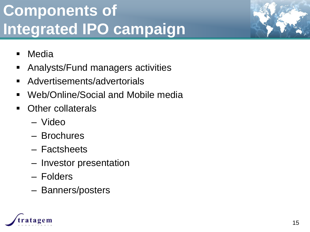## **Components of Integrated IPO campaign**

- Media
- **Analysts/Fund managers activities**
- **Advertisements/advertorials**
- Web/Online/Social and Mobile media
- Other collaterals
	- Video
	- Brochures
	- Factsheets
	- Investor presentation
	- Folders
	- Banners/posters

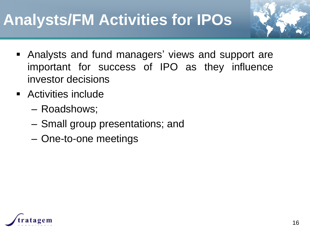## **Analysts/FM Activities for IPOs**

- Analysts and fund managers' views and support are important for success of IPO as they influence investor decisions
- Activities include
	- Roadshows;
	- Small group presentations; and
	- One-to-one meetings

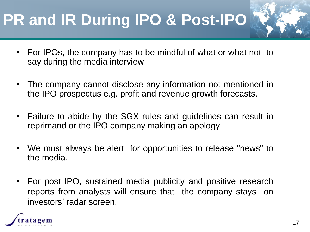## **PR and IR During IPO & Post-IPO**



- For IPOs, the company has to be mindful of what or what not to say during the media interview
- The company cannot disclose any information not mentioned in the IPO prospectus e.g. profit and revenue growth forecasts.
- Failure to abide by the SGX rules and guidelines can result in reprimand or the IPO company making an apology
- We must always be alert for opportunities to release "news" to the media.
- For post IPO, sustained media publicity and positive research reports from analysts will ensure that the company stays on investors' radar screen.

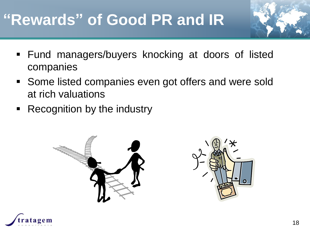#### **"Rewards" of Good PR and IR**

- Fund managers/buyers knocking at doors of listed companies
- Some listed companies even got offers and were sold at rich valuations
- Recognition by the industry





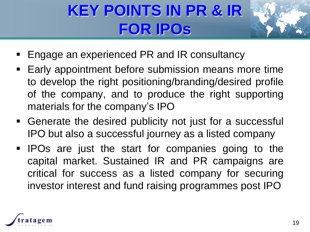## **KEY POINTS IN PR & IR FOR IPOs**



- **Engage an experienced PR and IR consultancy**
- Early appointment before submission means more time to develop the right positioning/branding/desired profile of the company, and to produce the right supporting materials for the company's IPO
- Generate the desired publicity not just for a successful IPO but also a successful journey as a listed company
- **IPOs are just the start for companies going to the** capital market. Sustained IR and PR campaigns are critical for success as a listed company for securing investor interest and fund raising programmes post IPO

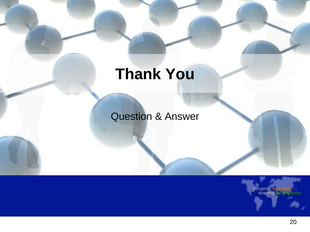### **Thank You**

Question & Answer

influence mindsets ::<br>shaping perceptions